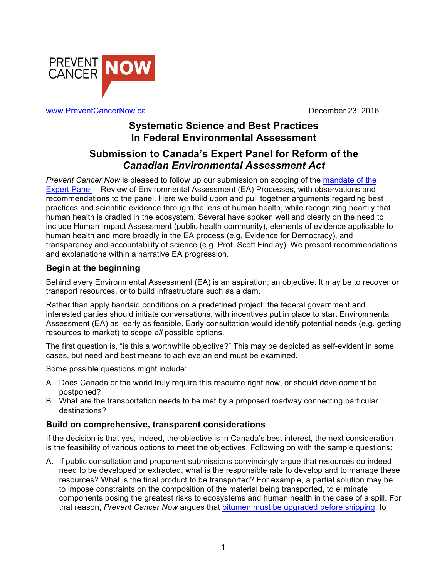

www.PreventCancerNow.ca **December 23, 2016** 

# **Systematic Science and Best Practices In Federal Environmental Assessment**

# **Submission to Canada's Expert Panel for Reform of the**  *Canadian Environmental Assessment Act*

*Prevent Cancer Now* is pleased to follow up our submission on scoping of the mandate of the Expert Panel – Review of Environmental Assessment (EA) Processes, with observations and recommendations to the panel. Here we build upon and pull together arguments regarding best practices and scientific evidence through the lens of human health, while recognizing heartily that human health is cradled in the ecosystem. Several have spoken well and clearly on the need to include Human Impact Assessment (public health community), elements of evidence applicable to human health and more broadly in the EA process (e.g. Evidence for Democracy), and transparency and accountability of science (e.g. Prof. Scott Findlay). We present recommendations and explanations within a narrative EA progression.

# **Begin at the beginning**

Behind every Environmental Assessment (EA) is an aspiration; an objective. It may be to recover or transport resources, or to build infrastructure such as a dam.

Rather than apply bandaid conditions on a predefined project, the federal government and interested parties should initiate conversations, with incentives put in place to start Environmental Assessment (EA) as early as feasible. Early consultation would identify potential needs (e.g. getting resources to market) to scope *all* possible options.

The first question is, "is this a worthwhile objective?" This may be depicted as self-evident in some cases, but need and best means to achieve an end must be examined.

Some possible questions might include:

- A. Does Canada or the world truly require this resource right now, or should development be postponed?
- B. What are the transportation needs to be met by a proposed roadway connecting particular destinations?

## **Build on comprehensive, transparent considerations**

If the decision is that yes, indeed, the objective is in Canada's best interest, the next consideration is the feasibility of various options to meet the objectives. Following on with the sample questions:

A. If public consultation and proponent submissions convincingly argue that resources do indeed need to be developed or extracted, what is the responsible rate to develop and to manage these resources? What is the final product to be transported? For example, a partial solution may be to impose constraints on the composition of the material being transported, to eliminate components posing the greatest risks to ecosystems and human health in the case of a spill. For that reason, *Prevent Cancer Now* argues that bitumen must be upgraded before shipping, to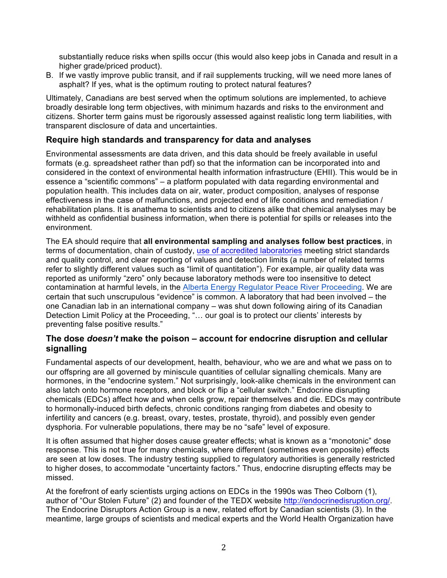substantially reduce risks when spills occur (this would also keep jobs in Canada and result in a higher grade/priced product).

B. If we vastly improve public transit, and if rail supplements trucking, will we need more lanes of asphalt? If yes, what is the optimum routing to protect natural features?

Ultimately, Canadians are best served when the optimum solutions are implemented, to achieve broadly desirable long term objectives, with minimum hazards and risks to the environment and citizens. Shorter term gains must be rigorously assessed against realistic long term liabilities, with transparent disclosure of data and uncertainties.

## **Require high standards and transparency for data and analyses**

Environmental assessments are data driven, and this data should be freely available in useful formats (e.g. spreadsheet rather than pdf) so that the information can be incorporated into and considered in the context of environmental health information infrastructure (EHII). This would be in essence a "scientific commons" – a platform populated with data regarding environmental and population health. This includes data on air, water, product composition, analyses of response effectiveness in the case of malfunctions, and projected end of life conditions and remediation / rehabilitation plans. It is anathema to scientists and to citizens alike that chemical analyses may be withheld as confidential business information, when there is potential for spills or releases into the environment.

The EA should require that **all environmental sampling and analyses follow best practices**, in terms of documentation, chain of custody, use of accredited laboratories meeting strict standards and quality control, and clear reporting of values and detection limits (a number of related terms refer to slightly different values such as "limit of quantitation"). For example, air quality data was reported as uniformly "zero" only because laboratory methods were too insensitive to detect contamination at harmful levels, in the Alberta Energy Regulator Peace River Proceeding. We are certain that such unscrupulous "evidence" is common. A laboratory that had been involved – the one Canadian lab in an international company – was shut down following airing of its Canadian Detection Limit Policy at the Proceeding, "… our goal is to protect our clients' interests by preventing false positive results."

#### **The dose** *doesn't* **make the poison – account for endocrine disruption and cellular signalling**

Fundamental aspects of our development, health, behaviour, who we are and what we pass on to our offspring are all governed by miniscule quantities of cellular signalling chemicals. Many are hormones, in the "endocrine system." Not surprisingly, look-alike chemicals in the environment can also latch onto hormone receptors, and block or flip a "cellular switch." Endocrine disrupting chemicals (EDCs) affect how and when cells grow, repair themselves and die. EDCs may contribute to hormonally-induced birth defects, chronic conditions ranging from diabetes and obesity to infertility and cancers (e.g. breast, ovary, testes, prostate, thyroid), and possibly even gender dysphoria. For vulnerable populations, there may be no "safe" level of exposure.

It is often assumed that higher doses cause greater effects; what is known as a "monotonic" dose response. This is not true for many chemicals, where different (sometimes even opposite) effects are seen at low doses. The industry testing supplied to regulatory authorities is generally restricted to higher doses, to accommodate "uncertainty factors." Thus, endocrine disrupting effects may be missed.

At the forefront of early scientists urging actions on EDCs in the 1990s was Theo Colborn (1), author of "Our Stolen Future" (2) and founder of the TEDX website http://endocrinedisruption.org/. The Endocrine Disruptors Action Group is a new, related effort by Canadian scientists (3). In the meantime, large groups of scientists and medical experts and the World Health Organization have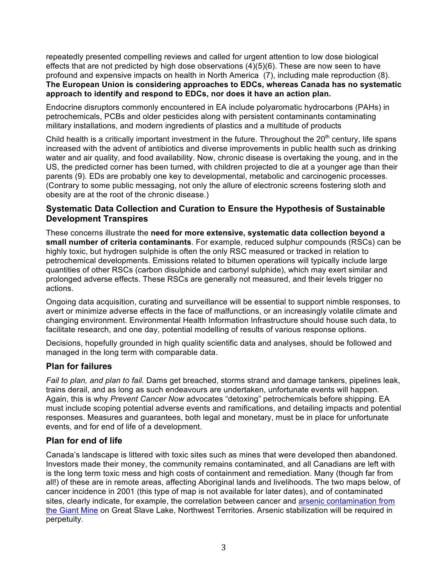repeatedly presented compelling reviews and called for urgent attention to low dose biological effects that are not predicted by high dose observations (4)(5)(6). These are now seen to have profound and expensive impacts on health in North America (7), including male reproduction (8). **The European Union is considering approaches to EDCs, whereas Canada has no systematic approach to identify and respond to EDCs, nor does it have an action plan.** 

Endocrine disruptors commonly encountered in EA include polyaromatic hydrocarbons (PAHs) in petrochemicals, PCBs and older pesticides along with persistent contaminants contaminating military installations, and modern ingredients of plastics and a multitude of products

Child health is a critically important investment in the future. Throughout the  $20<sup>th</sup>$  century, life spans increased with the advent of antibiotics and diverse improvements in public health such as drinking water and air quality, and food availability. Now, chronic disease is overtaking the young, and in the US, the predicted corner has been turned, with children projected to die at a younger age than their parents (9). EDs are probably one key to developmental, metabolic and carcinogenic processes. (Contrary to some public messaging, not only the allure of electronic screens fostering sloth and obesity are at the root of the chronic disease.)

## **Systematic Data Collection and Curation to Ensure the Hypothesis of Sustainable Development Transpires**

These concerns illustrate the **need for more extensive, systematic data collection beyond a small number of criteria contaminants**. For example, reduced sulphur compounds (RSCs) can be highly toxic, but hydrogen sulphide is often the only RSC measured or tracked in relation to petrochemical developments. Emissions related to bitumen operations will typically include large quantities of other RSCs (carbon disulphide and carbonyl sulphide), which may exert similar and prolonged adverse effects. These RSCs are generally not measured, and their levels trigger no actions.

Ongoing data acquisition, curating and surveillance will be essential to support nimble responses, to avert or minimize adverse effects in the face of malfunctions, or an increasingly volatile climate and changing environment. Environmental Health Information Infrastructure should house such data, to facilitate research, and one day, potential modelling of results of various response options.

Decisions, hopefully grounded in high quality scientific data and analyses, should be followed and managed in the long term with comparable data.

### **Plan for failures**

*Fail to plan, and plan to fail.* Dams get breached, storms strand and damage tankers, pipelines leak, trains derail, and as long as such endeavours are undertaken, unfortunate events will happen. Again, this is why *Prevent Cancer Now* advocates "detoxing" petrochemicals before shipping. EA must include scoping potential adverse events and ramifications, and detailing impacts and potential responses. Measures and guarantees, both legal and monetary, must be in place for unfortunate events, and for end of life of a development.

## **Plan for end of life**

Canada's landscape is littered with toxic sites such as mines that were developed then abandoned. Investors made their money, the community remains contaminated, and all Canadians are left with is the long term toxic mess and high costs of containment and remediation. Many (though far from all!) of these are in remote areas, affecting Aboriginal lands and livelihoods. The two maps below, of cancer incidence in 2001 (this type of map is not available for later dates), and of contaminated sites, clearly indicate, for example, the correlation between cancer and arsenic contamination from the Giant Mine on Great Slave Lake, Northwest Territories. Arsenic stabilization will be required in perpetuity.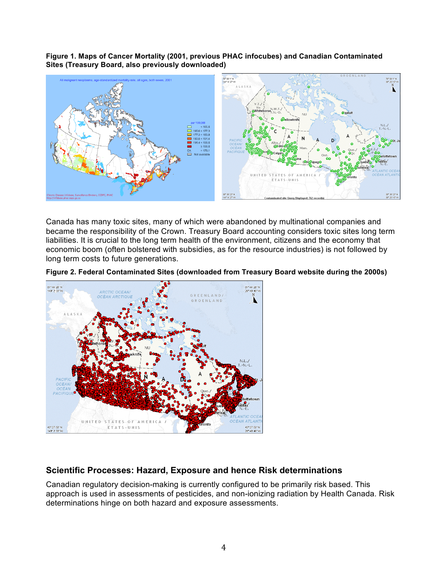**Figure 1. Maps of Cancer Mortality (2001, previous PHAC infocubes) and Canadian Contaminated Sites (Treasury Board, also previously downloaded)**



Canada has many toxic sites, many of which were abandoned by multinational companies and became the responsibility of the Crown. Treasury Board accounting considers toxic sites long term liabilities. It is crucial to the long term health of the environment, citizens and the economy that economic boom (often bolstered with subsidies, as for the resource industries) is not followed by long term costs to future generations.





### **Scientific Processes: Hazard, Exposure and hence Risk determinations**

Canadian regulatory decision-making is currently configured to be primarily risk based. This approach is used in assessments of pesticides, and non-ionizing radiation by Health Canada. Risk determinations hinge on both hazard and exposure assessments.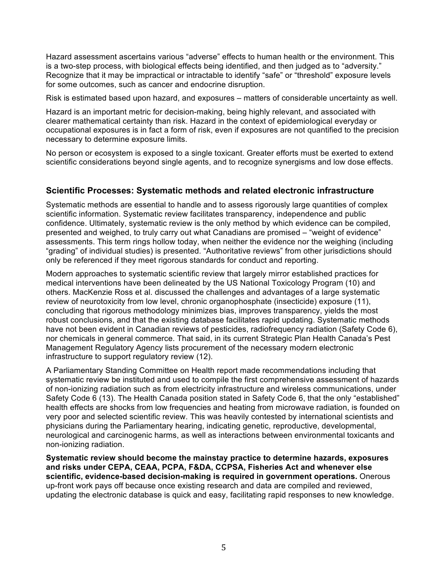Hazard assessment ascertains various "adverse" effects to human health or the environment. This is a two-step process, with biological effects being identified, and then judged as to "adversity." Recognize that it may be impractical or intractable to identify "safe" or "threshold" exposure levels for some outcomes, such as cancer and endocrine disruption.

Risk is estimated based upon hazard, and exposures – matters of considerable uncertainty as well.

Hazard is an important metric for decision-making, being highly relevant, and associated with clearer mathematical certainty than risk. Hazard in the context of epidemiological everyday or occupational exposures is in fact a form of risk, even if exposures are not quantified to the precision necessary to determine exposure limits.

No person or ecosystem is exposed to a single toxicant. Greater efforts must be exerted to extend scientific considerations beyond single agents, and to recognize synergisms and low dose effects.

### **Scientific Processes: Systematic methods and related electronic infrastructure**

Systematic methods are essential to handle and to assess rigorously large quantities of complex scientific information. Systematic review facilitates transparency, independence and public confidence. Ultimately, systematic review is the only method by which evidence can be compiled, presented and weighed, to truly carry out what Canadians are promised – "weight of evidence" assessments. This term rings hollow today, when neither the evidence nor the weighing (including "grading" of individual studies) is presented. "Authoritative reviews" from other jurisdictions should only be referenced if they meet rigorous standards for conduct and reporting.

Modern approaches to systematic scientific review that largely mirror established practices for medical interventions have been delineated by the US National Toxicology Program (10) and others. MacKenzie Ross et al. discussed the challenges and advantages of a large systematic review of neurotoxicity from low level, chronic organophosphate (insecticide) exposure (11), concluding that rigorous methodology minimizes bias, improves transparency, yields the most robust conclusions, and that the existing database facilitates rapid updating. Systematic methods have not been evident in Canadian reviews of pesticides, radiofrequency radiation (Safety Code 6), nor chemicals in general commerce. That said, in its current Strategic Plan Health Canada's Pest Management Regulatory Agency lists procurement of the necessary modern electronic infrastructure to support regulatory review (12).

A Parliamentary Standing Committee on Health report made recommendations including that systematic review be instituted and used to compile the first comprehensive assessment of hazards of non-ionizing radiation such as from electricity infrastructure and wireless communications, under Safety Code 6 (13). The Health Canada position stated in Safety Code 6, that the only "established" health effects are shocks from low frequencies and heating from microwave radiation, is founded on very poor and selected scientific review. This was heavily contested by international scientists and physicians during the Parliamentary hearing, indicating genetic, reproductive, developmental, neurological and carcinogenic harms, as well as interactions between environmental toxicants and non-ionizing radiation.

**Systematic review should become the mainstay practice to determine hazards, exposures and risks under CEPA, CEAA, PCPA, F&DA, CCPSA, Fisheries Act and whenever else scientific, evidence-based decision-making is required in government operations.** Onerous up-front work pays off because once existing research and data are compiled and reviewed, updating the electronic database is quick and easy, facilitating rapid responses to new knowledge.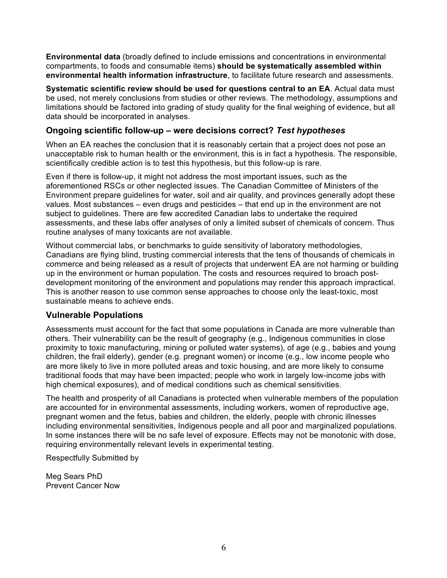**Environmental data** (broadly defined to include emissions and concentrations in environmental compartments, to foods and consumable items) **should be systematically assembled within environmental health information infrastructure**, to facilitate future research and assessments.

**Systematic scientific review should be used for questions central to an EA**. Actual data must be used, not merely conclusions from studies or other reviews. The methodology, assumptions and limitations should be factored into grading of study quality for the final weighing of evidence, but all data should be incorporated in analyses.

#### **Ongoing scientific follow-up – were decisions correct?** *Test hypotheses*

When an EA reaches the conclusion that it is reasonably certain that a project does not pose an unacceptable risk to human health or the environment, this is in fact a hypothesis. The responsible, scientifically credible action is to test this hypothesis, but this follow-up is rare.

Even if there is follow-up, it might not address the most important issues, such as the aforementioned RSCs or other neglected issues. The Canadian Committee of Ministers of the Environment prepare guidelines for water, soil and air quality, and provinces generally adopt these values. Most substances – even drugs and pesticides – that end up in the environment are not subject to guidelines. There are few accredited Canadian labs to undertake the required assessments, and these labs offer analyses of only a limited subset of chemicals of concern. Thus routine analyses of many toxicants are not available.

Without commercial labs, or benchmarks to guide sensitivity of laboratory methodologies, Canadians are flying blind, trusting commercial interests that the tens of thousands of chemicals in commerce and being released as a result of projects that underwent EA are not harming or building up in the environment or human population. The costs and resources required to broach postdevelopment monitoring of the environment and populations may render this approach impractical. This is another reason to use common sense approaches to choose only the least-toxic, most sustainable means to achieve ends.

### **Vulnerable Populations**

Assessments must account for the fact that some populations in Canada are more vulnerable than others. Their vulnerability can be the result of geography (e.g., Indigenous communities in close proximity to toxic manufacturing, mining or polluted water systems), of age (e.g., babies and young children, the frail elderly), gender (e.g. pregnant women) or income (e.g., low income people who are more likely to live in more polluted areas and toxic housing, and are more likely to consume traditional foods that may have been impacted; people who work in largely low-income jobs with high chemical exposures), and of medical conditions such as chemical sensitivities.

The health and prosperity of all Canadians is protected when vulnerable members of the population are accounted for in environmental assessments, including workers, women of reproductive age, pregnant women and the fetus, babies and children, the elderly, people with chronic illnesses including environmental sensitivities, Indigenous people and all poor and marginalized populations. In some instances there will be no safe level of exposure. Effects may not be monotonic with dose, requiring environmentally relevant levels in experimental testing.

Respectfully Submitted by

Meg Sears PhD Prevent Cancer Now